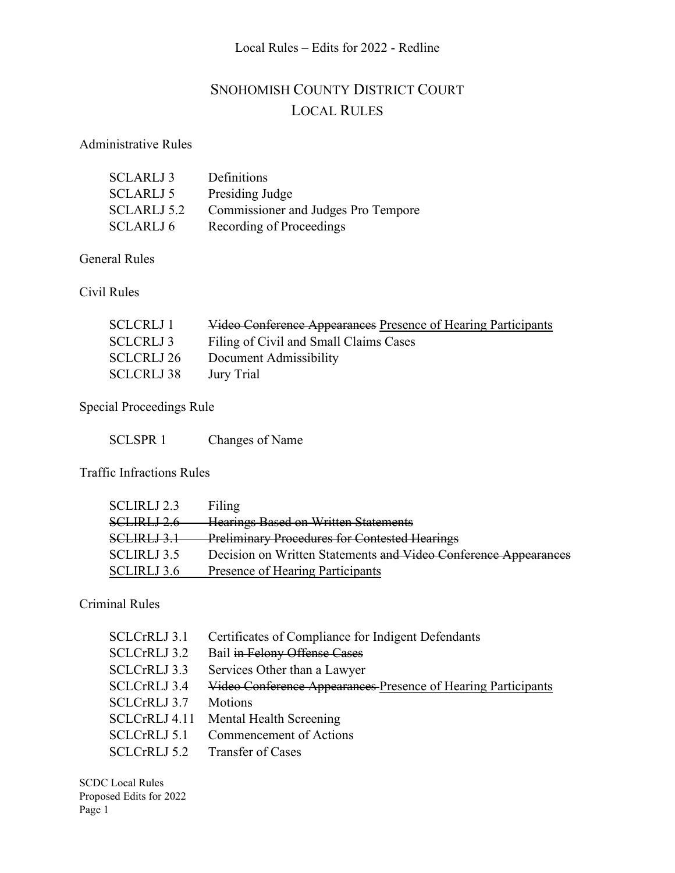# SNOHOMISH COUNTY DISTRICT COURT LOCAL RULES

#### Administrative Rules

| <b>SCLARLJ3</b>    | Definitions                         |
|--------------------|-------------------------------------|
| SCLARLJ 5          | Presiding Judge                     |
| <b>SCLARLJ 5.2</b> | Commissioner and Judges Pro Tempore |
| SCLARLJ 6          | Recording of Proceedings            |

General Rules

Civil Rules

| SCLCRLJ 1  | Video Conference Appearances Presence of Hearing Participants |
|------------|---------------------------------------------------------------|
| SCLCRLJ 3  | Filing of Civil and Small Claims Cases                        |
| SCLCRLJ 26 | Document Admissibility                                        |
| SCLCRLJ 38 | Jury Trial                                                    |

## Special Proceedings Rule

SCLSPR 1 Changes of Name

Traffic Infractions Rules

| SCLIRLJ 2.3            | Filing                                                          |
|------------------------|-----------------------------------------------------------------|
| SCLIRLJ 2.6-           | <b>Hearings Based on Written Statements</b>                     |
| <del>SCLIRLJ 3.1</del> | <b>Preliminary Procedures for Contested Hearings</b>            |
| <b>SCLIRLJ 3.5</b>     | Decision on Written Statements and Video Conference Appearances |
| <b>SCLIRLJ 3.6</b>     | Presence of Hearing Participants                                |
|                        |                                                                 |

#### Criminal Rules

| <b>SCLCrRLJ 3.1</b> | Certificates of Compliance for Indigent Defendants            |
|---------------------|---------------------------------------------------------------|
| <b>SCLCrRLJ 3.2</b> | Bail in Felony Offense Cases                                  |
| SCLCrRLJ 3.3        | Services Other than a Lawyer                                  |
| SCLCrRLJ 3.4        | Video Conference Appearances Presence of Hearing Participants |
| SCLCrRLJ 3.7        | Motions                                                       |
| SCLCrRLJ 4.11       | Mental Health Screening                                       |
| SCLCrRLJ 5.1        | Commencement of Actions                                       |
| <b>SCLCrRLJ 5.2</b> | <b>Transfer of Cases</b>                                      |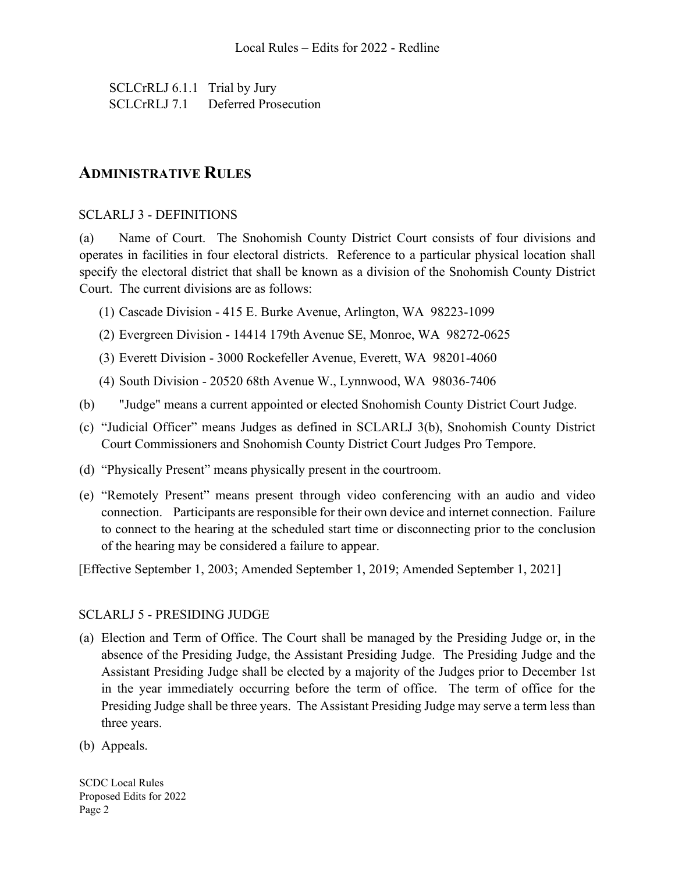SCLCrRLJ 6.1.1 Trial by Jury SCLCrRLJ 7.1 Deferred Prosecution

# **ADMINISTRATIVE RULES**

#### SCLARLJ 3 - DEFINITIONS

(a) Name of Court. The Snohomish County District Court consists of four divisions and operates in facilities in four electoral districts. Reference to a particular physical location shall specify the electoral district that shall be known as a division of the Snohomish County District Court. The current divisions are as follows:

- (1) Cascade Division 415 E. Burke Avenue, Arlington, WA 98223-1099
- (2) Evergreen Division 14414 179th Avenue SE, Monroe, WA 98272-0625
- (3) Everett Division 3000 Rockefeller Avenue, Everett, WA 98201-4060
- (4) South Division 20520 68th Avenue W., Lynnwood, WA 98036-7406
- (b) "Judge" means a current appointed or elected Snohomish County District Court Judge.
- (c) "Judicial Officer" means Judges as defined in SCLARLJ 3(b), Snohomish County District Court Commissioners and Snohomish County District Court Judges Pro Tempore.
- (d) "Physically Present" means physically present in the courtroom.
- (e) "Remotely Present" means present through video conferencing with an audio and video connection. Participants are responsible for their own device and internet connection. Failure to connect to the hearing at the scheduled start time or disconnecting prior to the conclusion of the hearing may be considered a failure to appear.

[Effective September 1, 2003; Amended September 1, 2019; Amended September 1, 2021]

#### SCLARLJ 5 - PRESIDING JUDGE

- (a) Election and Term of Office. The Court shall be managed by the Presiding Judge or, in the absence of the Presiding Judge, the Assistant Presiding Judge. The Presiding Judge and the Assistant Presiding Judge shall be elected by a majority of the Judges prior to December 1st in the year immediately occurring before the term of office. The term of office for the Presiding Judge shall be three years. The Assistant Presiding Judge may serve a term less than three years.
- (b) Appeals.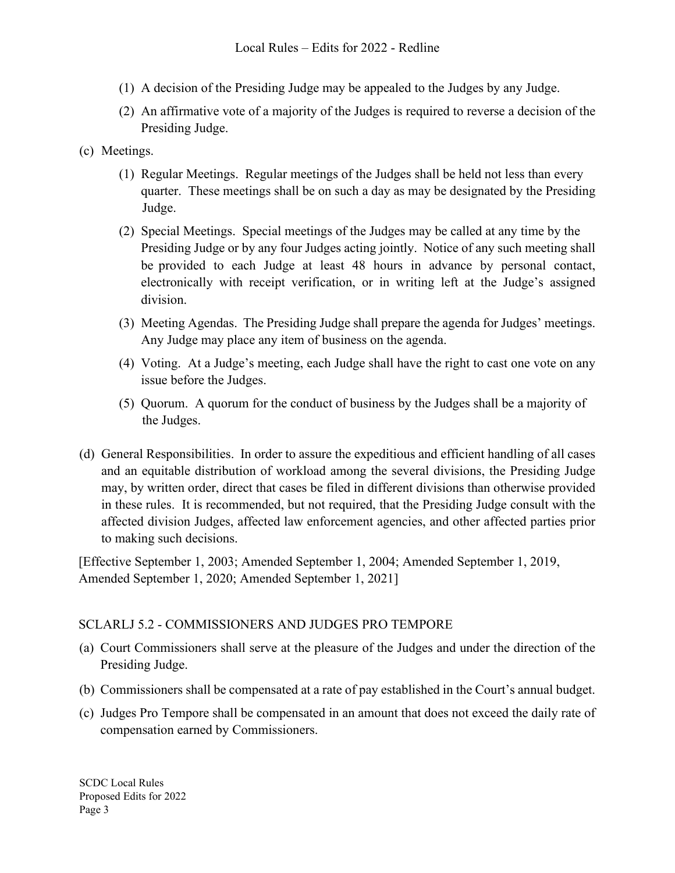- (1) A decision of the Presiding Judge may be appealed to the Judges by any Judge.
- (2) An affirmative vote of a majority of the Judges is required to reverse a decision of the Presiding Judge.
- (c) Meetings.
	- (1) Regular Meetings. Regular meetings of the Judges shall be held not less than every quarter. These meetings shall be on such a day as may be designated by the Presiding Judge.
	- (2) Special Meetings. Special meetings of the Judges may be called at any time by the Presiding Judge or by any four Judges acting jointly. Notice of any such meeting shall be provided to each Judge at least 48 hours in advance by personal contact, electronically with receipt verification, or in writing left at the Judge's assigned division.
	- (3) Meeting Agendas. The Presiding Judge shall prepare the agenda for Judges' meetings. Any Judge may place any item of business on the agenda.
	- (4) Voting. At a Judge's meeting, each Judge shall have the right to cast one vote on any issue before the Judges.
	- (5) Quorum. A quorum for the conduct of business by the Judges shall be a majority of the Judges.
- (d) General Responsibilities. In order to assure the expeditious and efficient handling of all cases and an equitable distribution of workload among the several divisions, the Presiding Judge may, by written order, direct that cases be filed in different divisions than otherwise provided in these rules. It is recommended, but not required, that the Presiding Judge consult with the affected division Judges, affected law enforcement agencies, and other affected parties prior to making such decisions.

[Effective September 1, 2003; Amended September 1, 2004; Amended September 1, 2019, Amended September 1, 2020; Amended September 1, 2021]

## SCLARLJ 5.2 - COMMISSIONERS AND JUDGES PRO TEMPORE

- (a) Court Commissioners shall serve at the pleasure of the Judges and under the direction of the Presiding Judge.
- (b) Commissioners shall be compensated at a rate of pay established in the Court's annual budget.
- (c) Judges Pro Tempore shall be compensated in an amount that does not exceed the daily rate of compensation earned by Commissioners.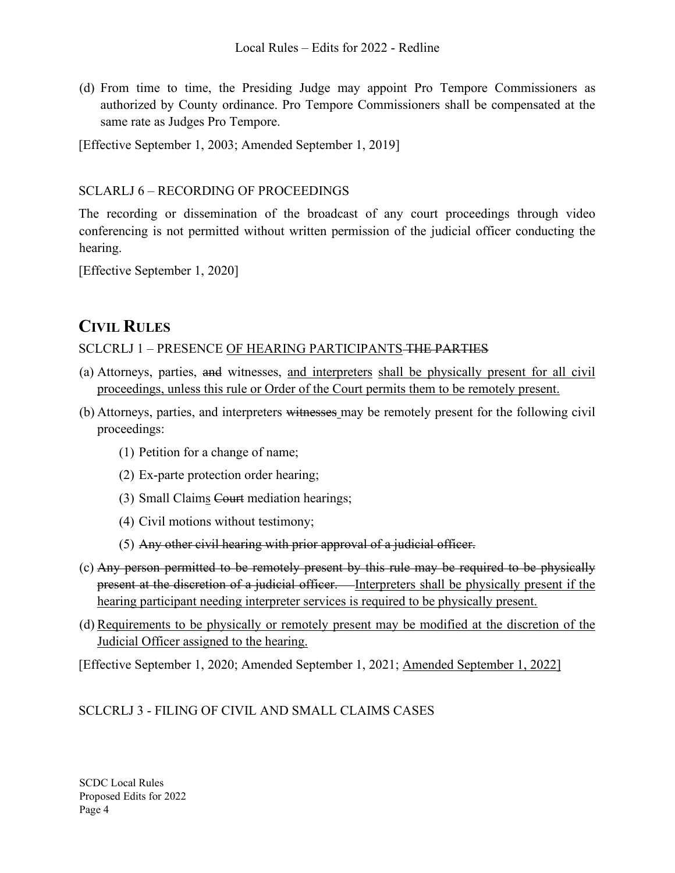(d) From time to time, the Presiding Judge may appoint Pro Tempore Commissioners as authorized by County ordinance. Pro Tempore Commissioners shall be compensated at the same rate as Judges Pro Tempore.

[Effective September 1, 2003; Amended September 1, 2019]

#### SCLARLJ 6 – RECORDING OF PROCEEDINGS

The recording or dissemination of the broadcast of any court proceedings through video conferencing is not permitted without written permission of the judicial officer conducting the hearing.

[Effective September 1, 2020]

# **CIVIL RULES**

## SCLCRLJ 1 – PRESENCE OF HEARING PARTICIPANTS THE PARTIES

- (a) Attorneys, parties, and witnesses, and interpreters shall be physically present for all civil proceedings, unless this rule or Order of the Court permits them to be remotely present.
- (b) Attorneys, parties, and interpreters witnesses may be remotely present for the following civil proceedings:
	- (1) Petition for a change of name;
	- (2) Ex-parte protection order hearing;
	- (3) Small Claims Court mediation hearings;
	- (4) Civil motions without testimony;
	- (5) Any other civil hearing with prior approval of a judicial officer.
- (c) Any person permitted to be remotely present by this rule may be required to be physically present at the discretion of a judicial officer. Interpreters shall be physically present if the hearing participant needing interpreter services is required to be physically present.
- (d) Requirements to be physically or remotely present may be modified at the discretion of the Judicial Officer assigned to the hearing.

[Effective September 1, 2020; Amended September 1, 2021; Amended September 1, 2022]

SCLCRLJ 3 - FILING OF CIVIL AND SMALL CLAIMS CASES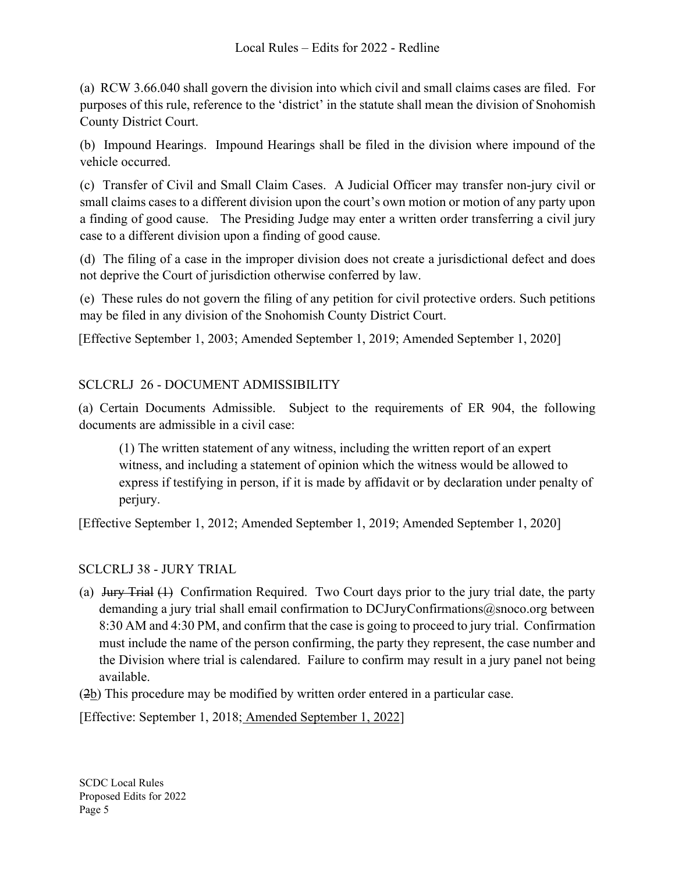(a) RCW 3.66.040 shall govern the division into which civil and small claims cases are filed. For purposes of this rule, reference to the 'district' in the statute shall mean the division of Snohomish County District Court.

(b) Impound Hearings. Impound Hearings shall be filed in the division where impound of the vehicle occurred.

(c) Transfer of Civil and Small Claim Cases. A Judicial Officer may transfer non-jury civil or small claims cases to a different division upon the court's own motion or motion of any party upon a finding of good cause. The Presiding Judge may enter a written order transferring a civil jury case to a different division upon a finding of good cause.

(d) The filing of a case in the improper division does not create a jurisdictional defect and does not deprive the Court of jurisdiction otherwise conferred by law.

(e) These rules do not govern the filing of any petition for civil protective orders. Such petitions may be filed in any division of the Snohomish County District Court.

[Effective September 1, 2003; Amended September 1, 2019; Amended September 1, 2020]

# SCLCRLJ 26 - DOCUMENT ADMISSIBILITY

(a) Certain Documents Admissible. Subject to the requirements of ER 904, the following documents are admissible in a civil case:

(1) The written statement of any witness, including the written report of an expert witness, and including a statement of opinion which the witness would be allowed to express if testifying in person, if it is made by affidavit or by declaration under penalty of perjury.

[Effective September 1, 2012; Amended September 1, 2019; Amended September 1, 2020]

## SCLCRLJ 38 - JURY TRIAL

- (a)  $\frac{1}{4}$  Jury Trial (1) Confirmation Required. Two Court days prior to the jury trial date, the party demanding a jury trial shall email confirmation to DCJuryConfirmations@snoco.org between 8:30 AM and 4:30 PM, and confirm that the case is going to proceed to jury trial. Confirmation must include the name of the person confirming, the party they represent, the case number and the Division where trial is calendared. Failure to confirm may result in a jury panel not being available.
- (2b) This procedure may be modified by written order entered in a particular case.

[Effective: September 1, 2018; Amended September 1, 2022]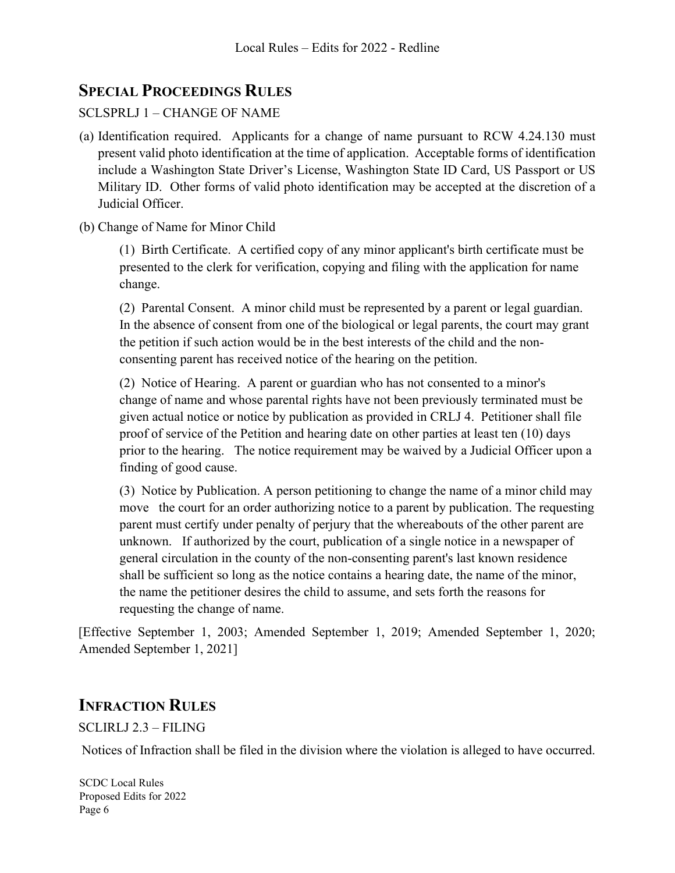# **SPECIAL PROCEEDINGS RULES**

### SCLSPRLJ 1 – CHANGE OF NAME

(a) Identification required. Applicants for a change of name pursuant to RCW 4.24.130 must present valid photo identification at the time of application. Acceptable forms of identification include a Washington State Driver's License, Washington State ID Card, US Passport or US Military ID. Other forms of valid photo identification may be accepted at the discretion of a Judicial Officer.

(b) Change of Name for Minor Child

(1) Birth Certificate. A certified copy of any minor applicant's birth certificate must be presented to the clerk for verification, copying and filing with the application for name change.

(2) Parental Consent. A minor child must be represented by a parent or legal guardian. In the absence of consent from one of the biological or legal parents, the court may grant the petition if such action would be in the best interests of the child and the nonconsenting parent has received notice of the hearing on the petition.

(2) Notice of Hearing. A parent or guardian who has not consented to a minor's change of name and whose parental rights have not been previously terminated must be given actual notice or notice by publication as provided in CRLJ 4. Petitioner shall file proof of service of the Petition and hearing date on other parties at least ten (10) days prior to the hearing. The notice requirement may be waived by a Judicial Officer upon a finding of good cause.

(3) Notice by Publication. A person petitioning to change the name of a minor child may move the court for an order authorizing notice to a parent by publication. The requesting parent must certify under penalty of perjury that the whereabouts of the other parent are unknown. If authorized by the court, publication of a single notice in a newspaper of general circulation in the county of the non-consenting parent's last known residence shall be sufficient so long as the notice contains a hearing date, the name of the minor, the name the petitioner desires the child to assume, and sets forth the reasons for requesting the change of name.

[Effective September 1, 2003; Amended September 1, 2019; Amended September 1, 2020; Amended September 1, 2021]

# **INFRACTION RULES**

#### SCLIRLJ 2.3 – FILING

Notices of Infraction shall be filed in the division where the violation is alleged to have occurred.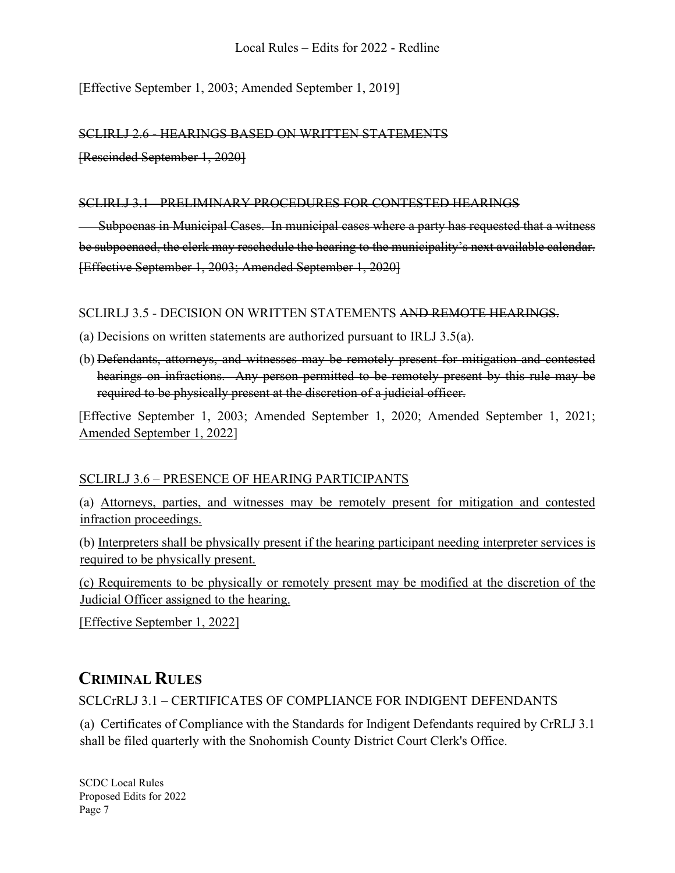[Effective September 1, 2003; Amended September 1, 2019]

SCLIRLJ 2.6 - HEARINGS BASED ON WRITTEN STATEMENTS [Rescinded September 1, 2020]

### SCLIRLJ 3.1 - PRELIMINARY PROCEDURES FOR CONTESTED HEARINGS

 Subpoenas in Municipal Cases. In municipal cases where a party has requested that a witness be subpoenaed, the clerk may reschedule the hearing to the municipality's next available calendar. [Effective September 1, 2003; Amended September 1, 2020]

## SCLIRLJ 3.5 - DECISION ON WRITTEN STATEMENTS AND REMOTE HEARINGS.

(a) Decisions on written statements are authorized pursuant to IRLJ 3.5(a).

(b) Defendants, attorneys, and witnesses may be remotely present for mitigation and contested hearings on infractions. Any person permitted to be remotely present by this rule may be required to be physically present at the discretion of a judicial officer.

[Effective September 1, 2003; Amended September 1, 2020; Amended September 1, 2021; Amended September 1, 2022]

## SCLIRLJ 3.6 – PRESENCE OF HEARING PARTICIPANTS

(a) Attorneys, parties, and witnesses may be remotely present for mitigation and contested infraction proceedings.

(b) Interpreters shall be physically present if the hearing participant needing interpreter services is required to be physically present.

(c) Requirements to be physically or remotely present may be modified at the discretion of the Judicial Officer assigned to the hearing.

[Effective September 1, 2022]

# **CRIMINAL RULES**

SCLCrRLJ 3.1 – CERTIFICATES OF COMPLIANCE FOR INDIGENT DEFENDANTS

(a) Certificates of Compliance with the Standards for Indigent Defendants required by CrRLJ 3.1 shall be filed quarterly with the Snohomish County District Court Clerk's Office.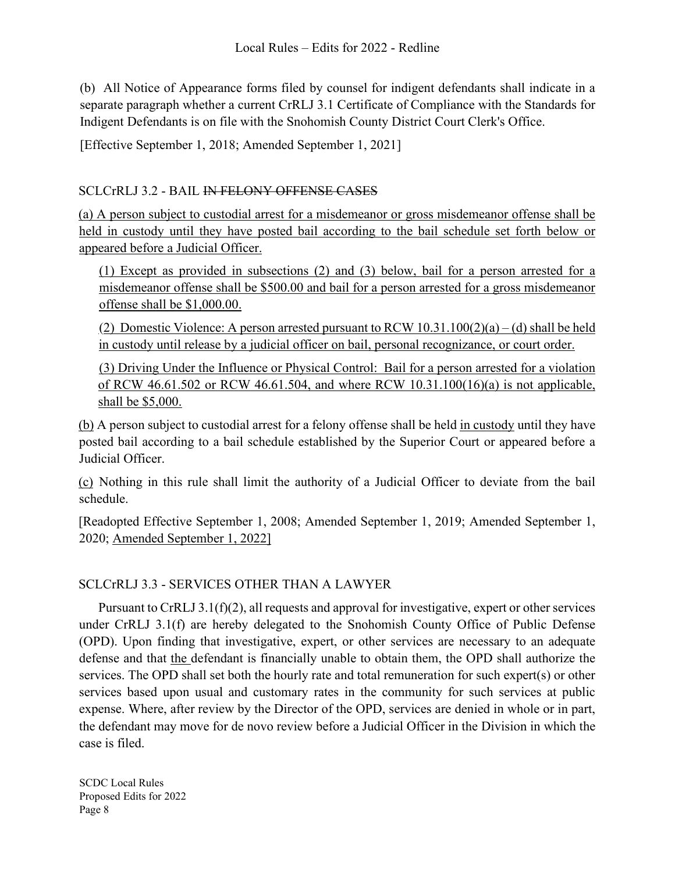(b) All Notice of Appearance forms filed by counsel for indigent defendants shall indicate in a separate paragraph whether a current CrRLJ 3.1 Certificate of Compliance with the Standards for Indigent Defendants is on file with the Snohomish County District Court Clerk's Office.

[Effective September 1, 2018; Amended September 1, 2021]

# SCLCrRLJ 3.2 - BAIL IN FELONY OFFENSE CASES

(a) A person subject to custodial arrest for a misdemeanor or gross misdemeanor offense shall be held in custody until they have posted bail according to the bail schedule set forth below or appeared before a Judicial Officer.

(1) Except as provided in subsections (2) and (3) below, bail for a person arrested for a misdemeanor offense shall be \$500.00 and bail for a person arrested for a gross misdemeanor offense shall be \$1,000.00.

(2) Domestic Violence: A person arrested pursuant to RCW  $10.31.100(2)(a) - (d)$  shall be held in custody until release by a judicial officer on bail, personal recognizance, or court order.

(3) Driving Under the Influence or Physical Control: Bail for a person arrested for a violation of RCW 46.61.502 or RCW 46.61.504, and where RCW 10.31.100(16)(a) is not applicable, shall be \$5,000.

(b) A person subject to custodial arrest for a felony offense shall be held in custody until they have posted bail according to a bail schedule established by the Superior Court or appeared before a Judicial Officer.

(c) Nothing in this rule shall limit the authority of a Judicial Officer to deviate from the bail schedule.

[Readopted Effective September 1, 2008; Amended September 1, 2019; Amended September 1, 2020; Amended September 1, 2022]

## SCLCrRLJ 3.3 - SERVICES OTHER THAN A LAWYER

Pursuant to CrRLJ  $3.1(f)(2)$ , all requests and approval for investigative, expert or other services under CrRLJ 3.1(f) are hereby delegated to the Snohomish County Office of Public Defense (OPD). Upon finding that investigative, expert, or other services are necessary to an adequate defense and that the defendant is financially unable to obtain them, the OPD shall authorize the services. The OPD shall set both the hourly rate and total remuneration for such expert(s) or other services based upon usual and customary rates in the community for such services at public expense. Where, after review by the Director of the OPD, services are denied in whole or in part, the defendant may move for de novo review before a Judicial Officer in the Division in which the case is filed.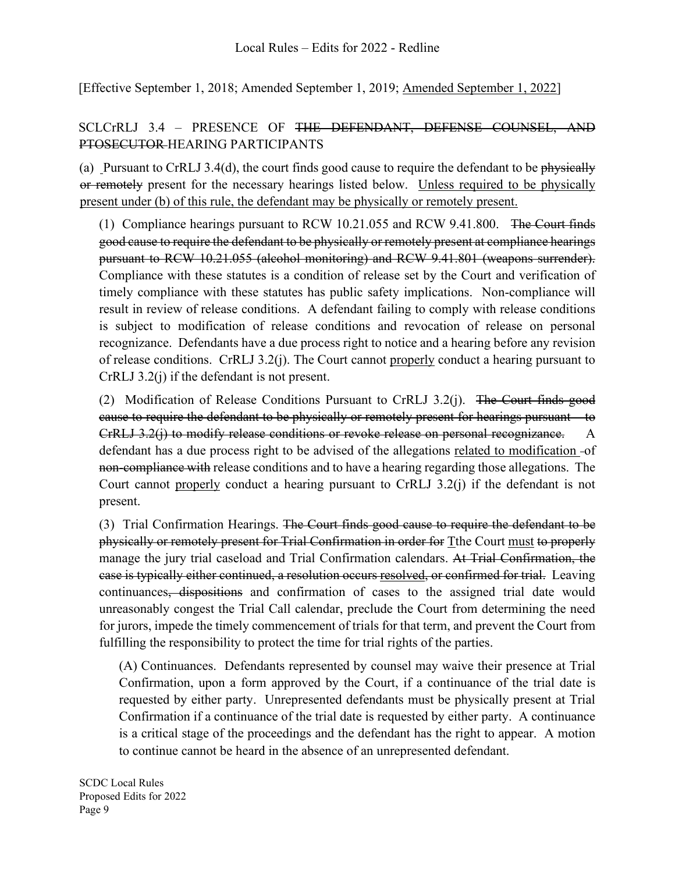[Effective September 1, 2018; Amended September 1, 2019; Amended September 1, 2022]

# SCLCrRLJ 3.4 – PRESENCE OF THE DEFENDANT, DEFENSE COUNSEL, AND PTOSECUTOR HEARING PARTICIPANTS

(a) Pursuant to CrRLJ 3.4(d), the court finds good cause to require the defendant to be physically or remotely present for the necessary hearings listed below. Unless required to be physically present under (b) of this rule, the defendant may be physically or remotely present.

(1) Compliance hearings pursuant to RCW 10.21.055 and RCW 9.41.800. The Court finds good cause to require the defendant to be physically or remotely present at compliance hearings pursuant to RCW 10.21.055 (alcohol monitoring) and RCW 9.41.801 (weapons surrender). Compliance with these statutes is a condition of release set by the Court and verification of timely compliance with these statutes has public safety implications. Non-compliance will result in review of release conditions. A defendant failing to comply with release conditions is subject to modification of release conditions and revocation of release on personal recognizance. Defendants have a due process right to notice and a hearing before any revision of release conditions. CrRLJ 3.2(j). The Court cannot properly conduct a hearing pursuant to CrRLJ 3.2(j) if the defendant is not present.

(2) Modification of Release Conditions Pursuant to CrRLJ  $3.2(i)$ . The Court finds good cause to require the defendant to be physically or remotely present for hearings pursuant to CrRLJ 3.2(j) to modify release conditions or revoke release on personal recognizance. A defendant has a due process right to be advised of the allegations related to modification -of non-compliance with release conditions and to have a hearing regarding those allegations. The Court cannot properly conduct a hearing pursuant to CrRLJ 3.2(j) if the defendant is not present.

(3) Trial Confirmation Hearings. The Court finds good cause to require the defendant to be physically or remotely present for Trial Confirmation in order for Tthe Court must to properly manage the jury trial caseload and Trial Confirmation calendars. At Trial Confirmation, the case is typically either continued, a resolution occurs resolved, or confirmed for trial. Leaving continuances, dispositions and confirmation of cases to the assigned trial date would unreasonably congest the Trial Call calendar, preclude the Court from determining the need for jurors, impede the timely commencement of trials for that term, and prevent the Court from fulfilling the responsibility to protect the time for trial rights of the parties.

(A) Continuances. Defendants represented by counsel may waive their presence at Trial Confirmation, upon a form approved by the Court, if a continuance of the trial date is requested by either party. Unrepresented defendants must be physically present at Trial Confirmation if a continuance of the trial date is requested by either party. A continuance is a critical stage of the proceedings and the defendant has the right to appear. A motion to continue cannot be heard in the absence of an unrepresented defendant.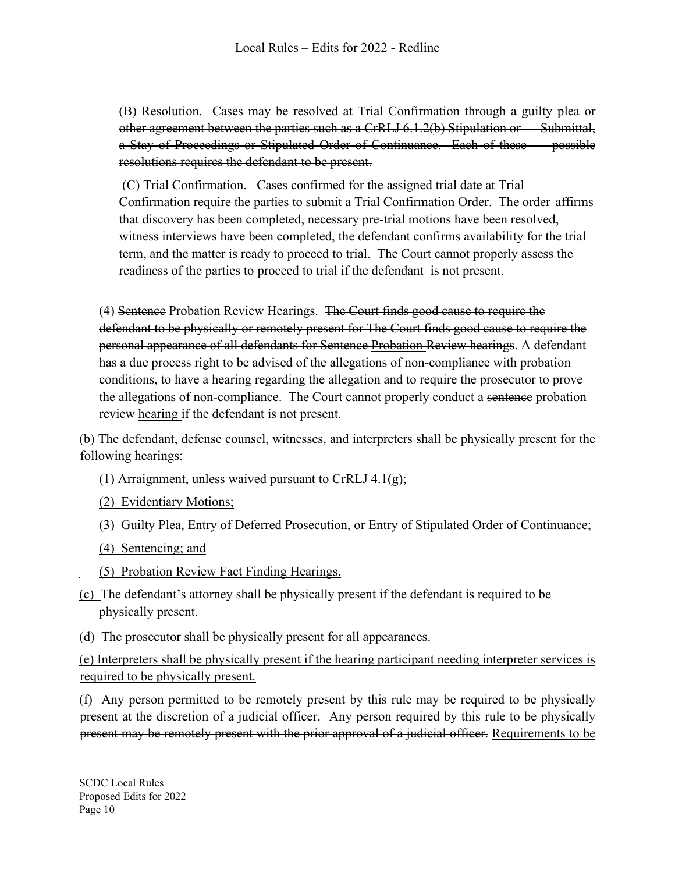(B) Resolution. Cases may be resolved at Trial Confirmation through a guilty plea or other agreement between the parties such as a CrRLJ 6.1.2(b) Stipulation or Submittal, a Stay of Proceedings or Stipulated Order of Continuance. Each of these possible resolutions requires the defendant to be present.

(C) Trial Confirmation. Cases confirmed for the assigned trial date at Trial Confirmation require the parties to submit a Trial Confirmation Order. The order affirms that discovery has been completed, necessary pre-trial motions have been resolved, witness interviews have been completed, the defendant confirms availability for the trial term, and the matter is ready to proceed to trial. The Court cannot properly assess the readiness of the parties to proceed to trial if the defendant is not present.

(4) Sentence Probation Review Hearings. The Court finds good cause to require the defendant to be physically or remotely present for The Court finds good cause to require the personal appearance of all defendants for Sentence Probation Review hearings. A defendant has a due process right to be advised of the allegations of non-compliance with probation conditions, to have a hearing regarding the allegation and to require the prosecutor to prove the allegations of non-compliance. The Court cannot properly conduct a sentence probation review hearing if the defendant is not present.

(b) The defendant, defense counsel, witnesses, and interpreters shall be physically present for the following hearings:

(1) Arraignment, unless waived pursuant to CrRLJ  $4.1(g)$ ;

(2) Evidentiary Motions;

(3) Guilty Plea, Entry of Deferred Prosecution, or Entry of Stipulated Order of Continuance;

(4) Sentencing; and

(5) Probation Review Fact Finding Hearings.

- (c) The defendant's attorney shall be physically present if the defendant is required to be physically present.
- (d) The prosecutor shall be physically present for all appearances.

(e) Interpreters shall be physically present if the hearing participant needing interpreter services is required to be physically present.

(f) Any person permitted to be remotely present by this rule may be required to be physically present at the discretion of a judicial officer. Any person required by this rule to be physically present may be remotely present with the prior approval of a judicial officer. Requirements to be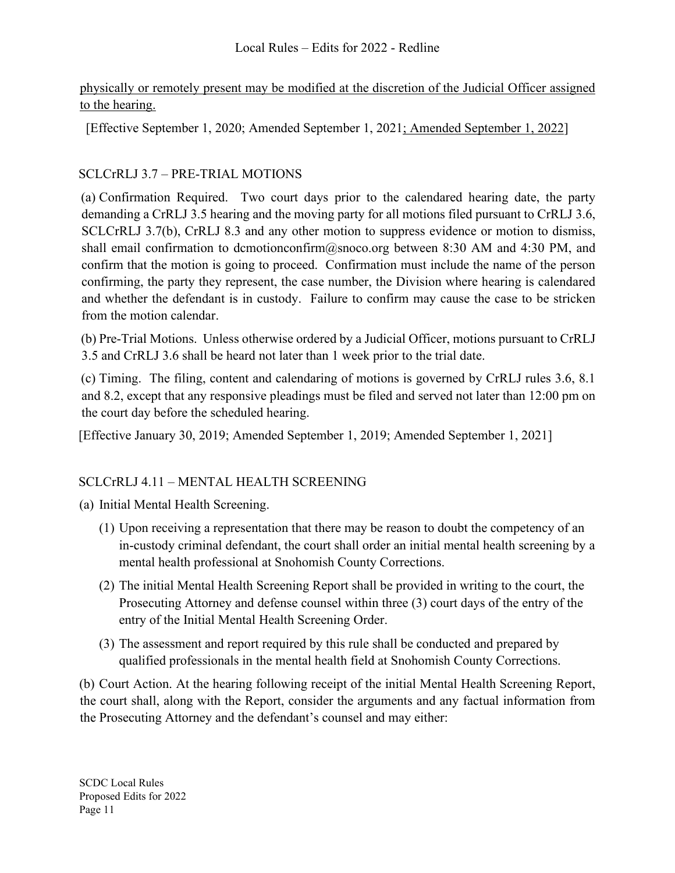physically or remotely present may be modified at the discretion of the Judicial Officer assigned to the hearing.

[Effective September 1, 2020; Amended September 1, 2021; Amended September 1, 2022]

# SCLCrRLJ 3.7 – PRE-TRIAL MOTIONS

(a) Confirmation Required. Two court days prior to the calendared hearing date, the party demanding a CrRLJ 3.5 hearing and the moving party for all motions filed pursuant to CrRLJ 3.6, SCLCrRLJ 3.7(b), CrRLJ 8.3 and any other motion to suppress evidence or motion to dismiss, shall email confirmation to dcmotionconfirm@snoco.org between 8:30 AM and 4:30 PM, and confirm that the motion is going to proceed. Confirmation must include the name of the person confirming, the party they represent, the case number, the Division where hearing is calendared and whether the defendant is in custody. Failure to confirm may cause the case to be stricken from the motion calendar.

(b) Pre-Trial Motions. Unless otherwise ordered by a Judicial Officer, motions pursuant to CrRLJ 3.5 and CrRLJ 3.6 shall be heard not later than 1 week prior to the trial date.

(c) Timing. The filing, content and calendaring of motions is governed by CrRLJ rules 3.6, 8.1 and 8.2, except that any responsive pleadings must be filed and served not later than 12:00 pm on the court day before the scheduled hearing.

[Effective January 30, 2019; Amended September 1, 2019; Amended September 1, 2021]

# SCLCrRLJ 4.11 – MENTAL HEALTH SCREENING

(a) Initial Mental Health Screening.

- (1) Upon receiving a representation that there may be reason to doubt the competency of an in-custody criminal defendant, the court shall order an initial mental health screening by a mental health professional at Snohomish County Corrections.
- (2) The initial Mental Health Screening Report shall be provided in writing to the court, the Prosecuting Attorney and defense counsel within three (3) court days of the entry of the entry of the Initial Mental Health Screening Order.
- (3) The assessment and report required by this rule shall be conducted and prepared by qualified professionals in the mental health field at Snohomish County Corrections.

(b) Court Action. At the hearing following receipt of the initial Mental Health Screening Report, the court shall, along with the Report, consider the arguments and any factual information from the Prosecuting Attorney and the defendant's counsel and may either: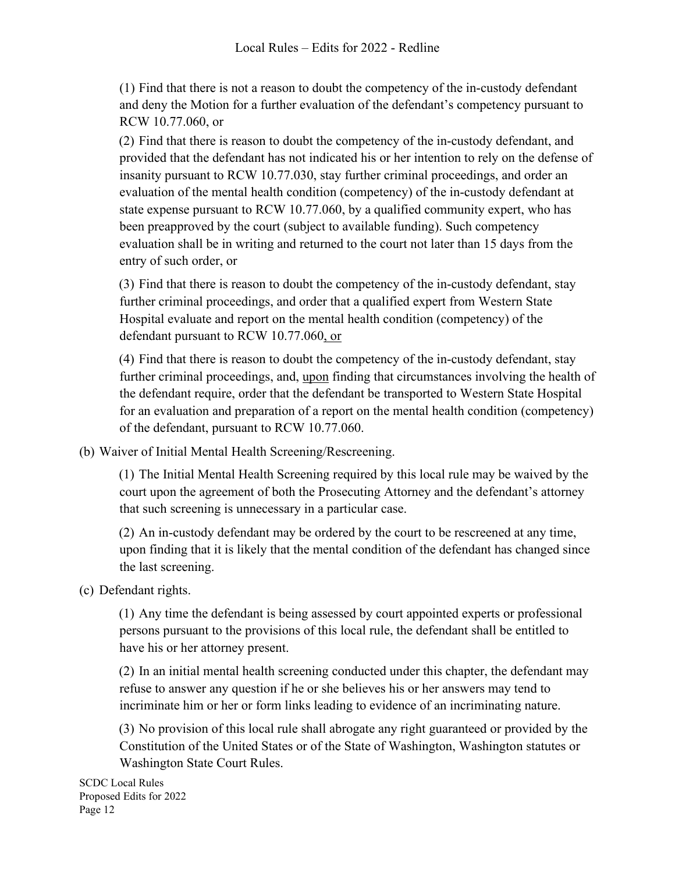(1) Find that there is not a reason to doubt the competency of the in-custody defendant and deny the Motion for a further evaluation of the defendant's competency pursuant to RCW 10.77.060, or

(2) Find that there is reason to doubt the competency of the in-custody defendant, and provided that the defendant has not indicated his or her intention to rely on the defense of insanity pursuant to RCW 10.77.030, stay further criminal proceedings, and order an evaluation of the mental health condition (competency) of the in-custody defendant at state expense pursuant to RCW 10.77.060, by a qualified community expert, who has been preapproved by the court (subject to available funding). Such competency evaluation shall be in writing and returned to the court not later than 15 days from the entry of such order, or

(3) Find that there is reason to doubt the competency of the in-custody defendant, stay further criminal proceedings, and order that a qualified expert from Western State Hospital evaluate and report on the mental health condition (competency) of the defendant pursuant to RCW 10.77.060, or

(4) Find that there is reason to doubt the competency of the in-custody defendant, stay further criminal proceedings, and, upon finding that circumstances involving the health of the defendant require, order that the defendant be transported to Western State Hospital for an evaluation and preparation of a report on the mental health condition (competency) of the defendant, pursuant to RCW 10.77.060.

(b) Waiver of Initial Mental Health Screening/Rescreening.

(1) The Initial Mental Health Screening required by this local rule may be waived by the court upon the agreement of both the Prosecuting Attorney and the defendant's attorney that such screening is unnecessary in a particular case.

(2) An in-custody defendant may be ordered by the court to be rescreened at any time, upon finding that it is likely that the mental condition of the defendant has changed since the last screening.

(c) Defendant rights.

(1) Any time the defendant is being assessed by court appointed experts or professional persons pursuant to the provisions of this local rule, the defendant shall be entitled to have his or her attorney present.

(2) In an initial mental health screening conducted under this chapter, the defendant may refuse to answer any question if he or she believes his or her answers may tend to incriminate him or her or form links leading to evidence of an incriminating nature.

(3) No provision of this local rule shall abrogate any right guaranteed or provided by the Constitution of the United States or of the State of Washington, Washington statutes or Washington State Court Rules.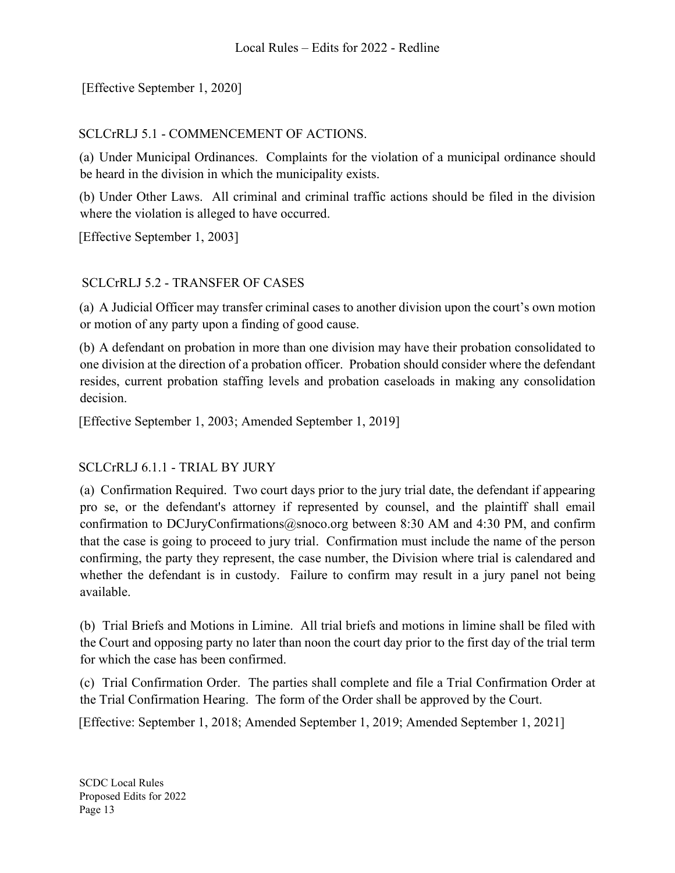[Effective September 1, 2020]

### SCLCrRLJ 5.1 - COMMENCEMENT OF ACTIONS.

(a) Under Municipal Ordinances. Complaints for the violation of a municipal ordinance should be heard in the division in which the municipality exists.

(b) Under Other Laws. All criminal and criminal traffic actions should be filed in the division where the violation is alleged to have occurred.

[Effective September 1, 2003]

#### SCLCrRLJ 5.2 - TRANSFER OF CASES

(a) A Judicial Officer may transfer criminal cases to another division upon the court's own motion or motion of any party upon a finding of good cause.

(b) A defendant on probation in more than one division may have their probation consolidated to one division at the direction of a probation officer. Probation should consider where the defendant resides, current probation staffing levels and probation caseloads in making any consolidation decision.

[Effective September 1, 2003; Amended September 1, 2019]

## SCLCrRLJ 6.1.1 - TRIAL BY JURY

(a) Confirmation Required. Two court days prior to the jury trial date, the defendant if appearing pro se, or the defendant's attorney if represented by counsel, and the plaintiff shall email confirmation to DCJuryConfirmations@snoco.org between 8:30 AM and 4:30 PM, and confirm that the case is going to proceed to jury trial. Confirmation must include the name of the person confirming, the party they represent, the case number, the Division where trial is calendared and whether the defendant is in custody. Failure to confirm may result in a jury panel not being available.

(b) Trial Briefs and Motions in Limine. All trial briefs and motions in limine shall be filed with the Court and opposing party no later than noon the court day prior to the first day of the trial term for which the case has been confirmed.

(c) Trial Confirmation Order. The parties shall complete and file a Trial Confirmation Order at the Trial Confirmation Hearing. The form of the Order shall be approved by the Court.

[Effective: September 1, 2018; Amended September 1, 2019; Amended September 1, 2021]